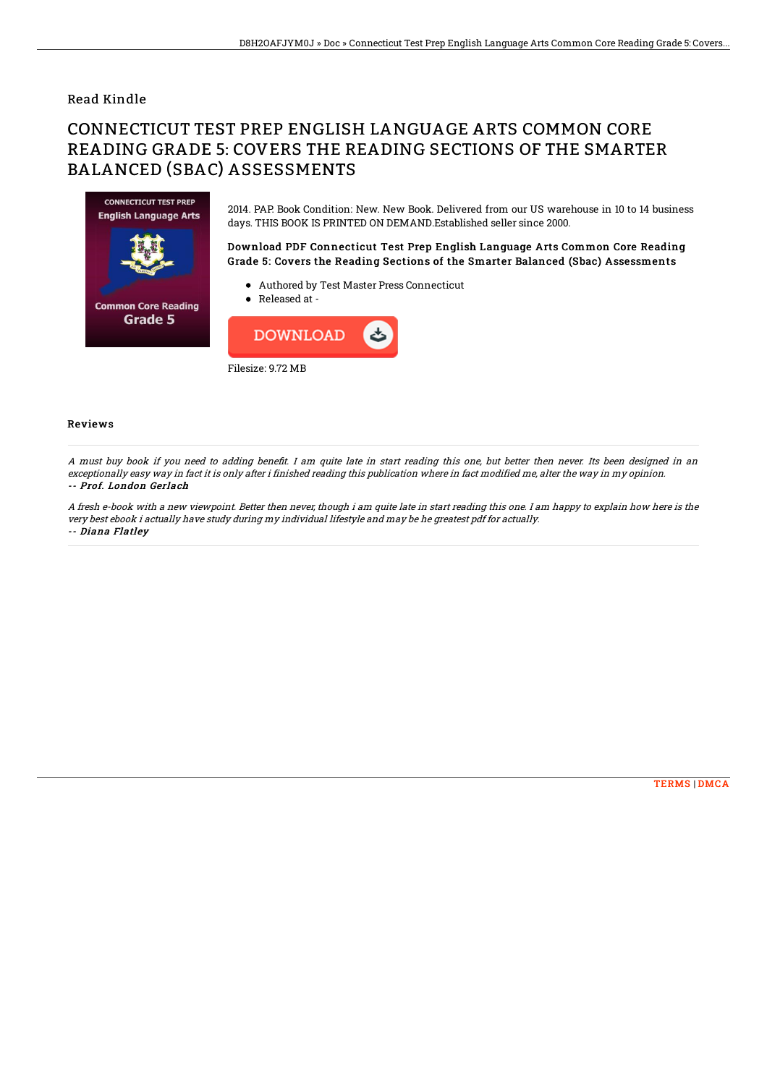## Read Kindle

## CONNECTICUT TEST PREP ENGLISH LANGUAGE ARTS COMMON CORE READING GRADE 5: COVERS THE READING SECTIONS OF THE SMARTER BALANCED (SBAC) ASSESSMENTS



Filesize: 9.72 MB

## Reviews

A must buy book if you need to adding benefit. I am quite late in start reading this one, but better then never. Its been designed in an exceptionally easy way in fact it is only after i finished reading this publication where in fact modified me, alter the way in my opinion. -- Prof. London Gerlach

A fresh e-book with <sup>a</sup> new viewpoint. Better then never, though i am quite late in start reading this one. I am happy to explain how here is the very best ebook i actually have study during my individual lifestyle and may be he greatest pdf for actually. -- Diana Flatley